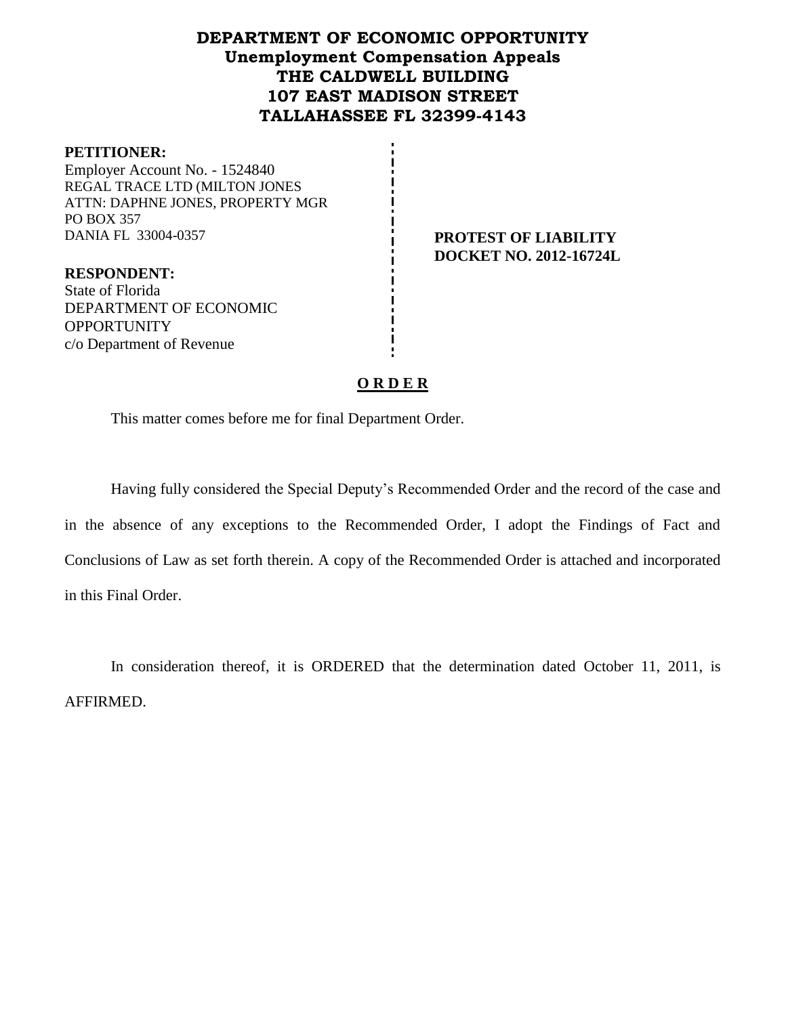# **DEPARTMENT OF ECONOMIC OPPORTUNITY Unemployment Compensation Appeals THE CALDWELL BUILDING 107 EAST MADISON STREET TALLAHASSEE FL 32399-4143**

#### **PETITIONER:**

Employer Account No. - 1524840 REGAL TRACE LTD (MILTON JONES ATTN: DAPHNE JONES, PROPERTY MGR PO BOX 357 DANIA FL 33004-0357 **PROTEST OF LIABILITY**

**DOCKET NO. 2012-16724L**

**RESPONDENT:** State of Florida DEPARTMENT OF ECONOMIC **OPPORTUNITY** c/o Department of Revenue

## **O R D E R**

This matter comes before me for final Department Order.

Having fully considered the Special Deputy's Recommended Order and the record of the case and in the absence of any exceptions to the Recommended Order, I adopt the Findings of Fact and Conclusions of Law as set forth therein. A copy of the Recommended Order is attached and incorporated in this Final Order.

In consideration thereof, it is ORDERED that the determination dated October 11, 2011, is AFFIRMED.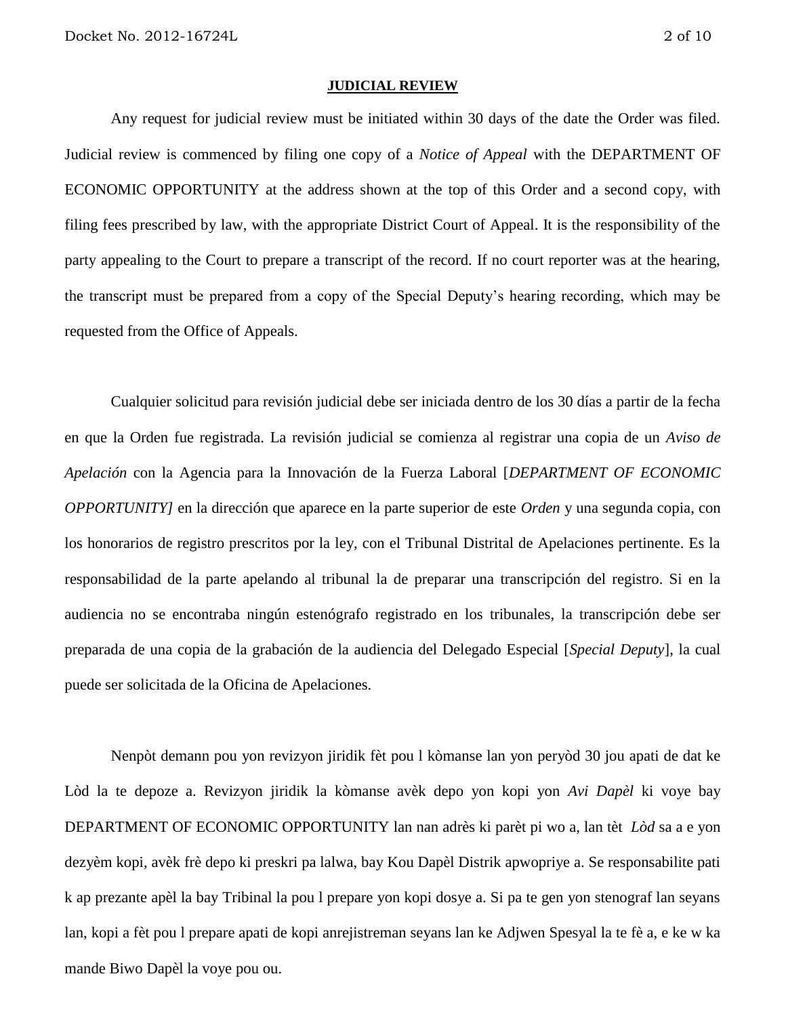#### **JUDICIAL REVIEW**

Any request for judicial review must be initiated within 30 days of the date the Order was filed. Judicial review is commenced by filing one copy of a *Notice of Appeal* with the DEPARTMENT OF ECONOMIC OPPORTUNITY at the address shown at the top of this Order and a second copy, with filing fees prescribed by law, with the appropriate District Court of Appeal. It is the responsibility of the party appealing to the Court to prepare a transcript of the record. If no court reporter was at the hearing, the transcript must be prepared from a copy of the Special Deputy's hearing recording, which may be requested from the Office of Appeals.

Cualquier solicitud para revisión judicial debe ser iniciada dentro de los 30 días a partir de la fecha en que la Orden fue registrada. La revisión judicial se comienza al registrar una copia de un *Aviso de Apelación* con la Agencia para la Innovación de la Fuerza Laboral [*DEPARTMENT OF ECONOMIC OPPORTUNITY]* en la dirección que aparece en la parte superior de este *Orden* y una segunda copia, con los honorarios de registro prescritos por la ley, con el Tribunal Distrital de Apelaciones pertinente. Es la responsabilidad de la parte apelando al tribunal la de preparar una transcripción del registro. Si en la audiencia no se encontraba ningún estenógrafo registrado en los tribunales, la transcripción debe ser preparada de una copia de la grabación de la audiencia del Delegado Especial [*Special Deputy*], la cual puede ser solicitada de la Oficina de Apelaciones.

Nenpòt demann pou yon revizyon jiridik fèt pou l kòmanse lan yon peryòd 30 jou apati de dat ke Lòd la te depoze a. Revizyon jiridik la kòmanse avèk depo yon kopi yon *Avi Dapèl* ki voye bay DEPARTMENT OF ECONOMIC OPPORTUNITY lan nan adrès ki parèt pi wo a, lan tèt *Lòd* sa a e yon dezyèm kopi, avèk frè depo ki preskri pa lalwa, bay Kou Dapèl Distrik apwopriye a. Se responsabilite pati k ap prezante apèl la bay Tribinal la pou l prepare yon kopi dosye a. Si pa te gen yon stenograf lan seyans lan, kopi a fèt pou l prepare apati de kopi anrejistreman seyans lan ke Adjwen Spesyal la te fè a, e ke w ka mande Biwo Dapèl la voye pou ou.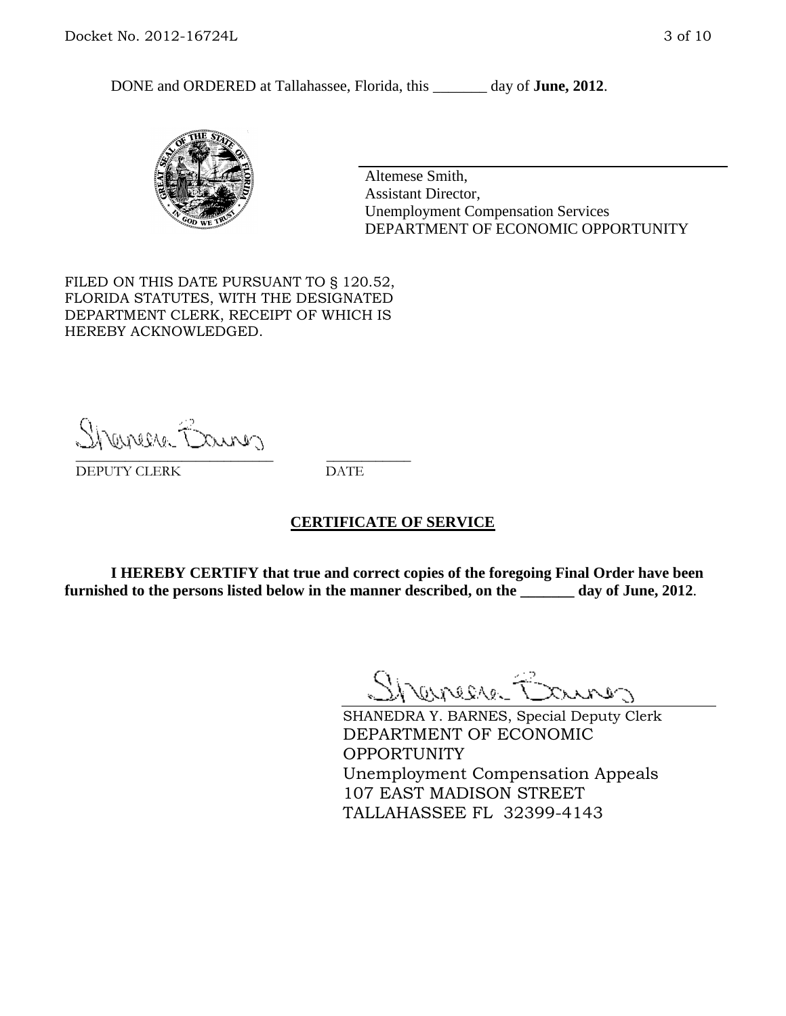DONE and ORDERED at Tallahassee, Florida, this day of **June, 2012**.



Altemese Smith, Assistant Director, Unemployment Compensation Services DEPARTMENT OF ECONOMIC OPPORTUNITY

FILED ON THIS DATE PURSUANT TO § 120.52, FLORIDA STATUTES, WITH THE DESIGNATED DEPARTMENT CLERK, RECEIPT OF WHICH IS HEREBY ACKNOWLEDGED.

Shenesse Bainer \_\_\_\_\_\_\_\_\_\_\_\_\_\_\_\_\_\_\_\_\_\_\_\_\_\_\_\_ \_\_\_\_\_\_\_\_\_\_\_\_

DEPUTY CLERK DATE

## **CERTIFICATE OF SERVICE**

**I HEREBY CERTIFY that true and correct copies of the foregoing Final Order have been furnished to the persons listed below in the manner described, on the \_\_\_\_\_\_\_ day of June, 2012**.

Shaner Barnes

SHANEDRA Y. BARNES, Special Deputy Clerk DEPARTMENT OF ECONOMIC OPPORTUNITY Unemployment Compensation Appeals 107 EAST MADISON STREET TALLAHASSEE FL 32399-4143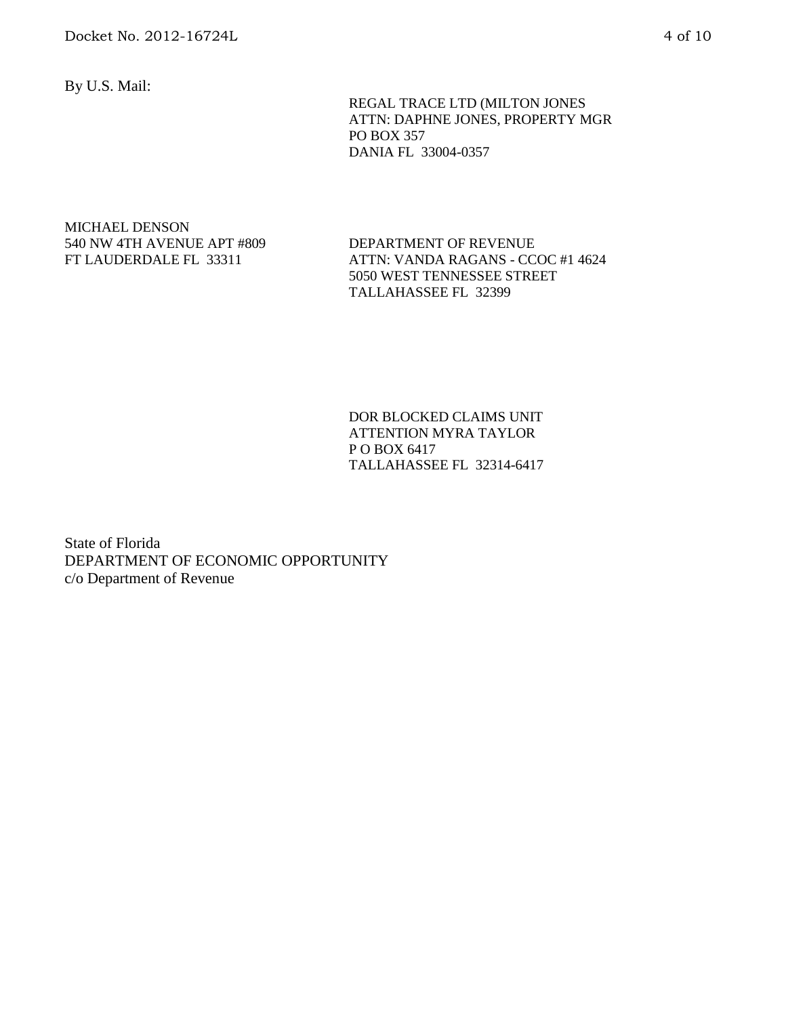By U.S. Mail:

 REGAL TRACE LTD (MILTON JONES ATTN: DAPHNE JONES, PROPERTY MGR PO BOX 357 DANIA FL 33004-0357

#### MICHAEL DENSON 540 NW 4TH AVENUE APT #809 FT LAUDERDALE FL 33311

DEPARTMENT OF REVENUE ATTN: VANDA RAGANS - CCOC #1 4624 5050 WEST TENNESSEE STREET TALLAHASSEE FL 32399

DOR BLOCKED CLAIMS UNIT ATTENTION MYRA TAYLOR P O BOX 6417 TALLAHASSEE FL 32314-6417

State of Florida DEPARTMENT OF ECONOMIC OPPORTUNITY c/o Department of Revenue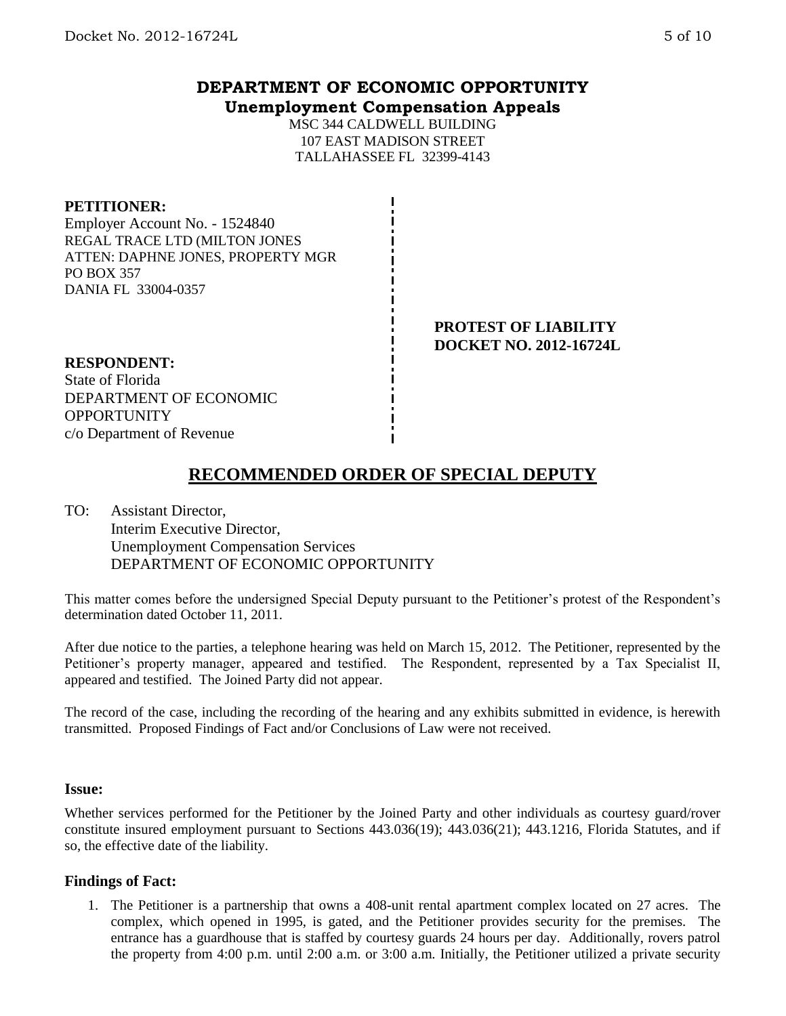## **DEPARTMENT OF ECONOMIC OPPORTUNITY Unemployment Compensation Appeals**

MSC 344 CALDWELL BUILDING 107 EAST MADISON STREET TALLAHASSEE FL 32399-4143

#### **PETITIONER:**

Employer Account No. - 1524840 REGAL TRACE LTD (MILTON JONES ATTEN: DAPHNE JONES, PROPERTY MGR PO BOX 357 DANIA FL 33004-0357

> **PROTEST OF LIABILITY DOCKET NO. 2012-16724L**

#### **RESPONDENT:**

State of Florida DEPARTMENT OF ECONOMIC **OPPORTUNITY** c/o Department of Revenue

# **RECOMMENDED ORDER OF SPECIAL DEPUTY**

TO: Assistant Director, Interim Executive Director, Unemployment Compensation Services DEPARTMENT OF ECONOMIC OPPORTUNITY

This matter comes before the undersigned Special Deputy pursuant to the Petitioner's protest of the Respondent's determination dated October 11, 2011.

After due notice to the parties, a telephone hearing was held on March 15, 2012. The Petitioner, represented by the Petitioner's property manager, appeared and testified. The Respondent, represented by a Tax Specialist II, appeared and testified. The Joined Party did not appear.

The record of the case, including the recording of the hearing and any exhibits submitted in evidence, is herewith transmitted. Proposed Findings of Fact and/or Conclusions of Law were not received.

#### **Issue:**

Whether services performed for the Petitioner by the Joined Party and other individuals as courtesy guard/rover constitute insured employment pursuant to Sections 443.036(19); 443.036(21); 443.1216, Florida Statutes, and if so, the effective date of the liability.

#### **Findings of Fact:**

1. The Petitioner is a partnership that owns a 408-unit rental apartment complex located on 27 acres. The complex, which opened in 1995, is gated, and the Petitioner provides security for the premises. The entrance has a guardhouse that is staffed by courtesy guards 24 hours per day. Additionally, rovers patrol the property from 4:00 p.m. until 2:00 a.m. or 3:00 a.m. Initially, the Petitioner utilized a private security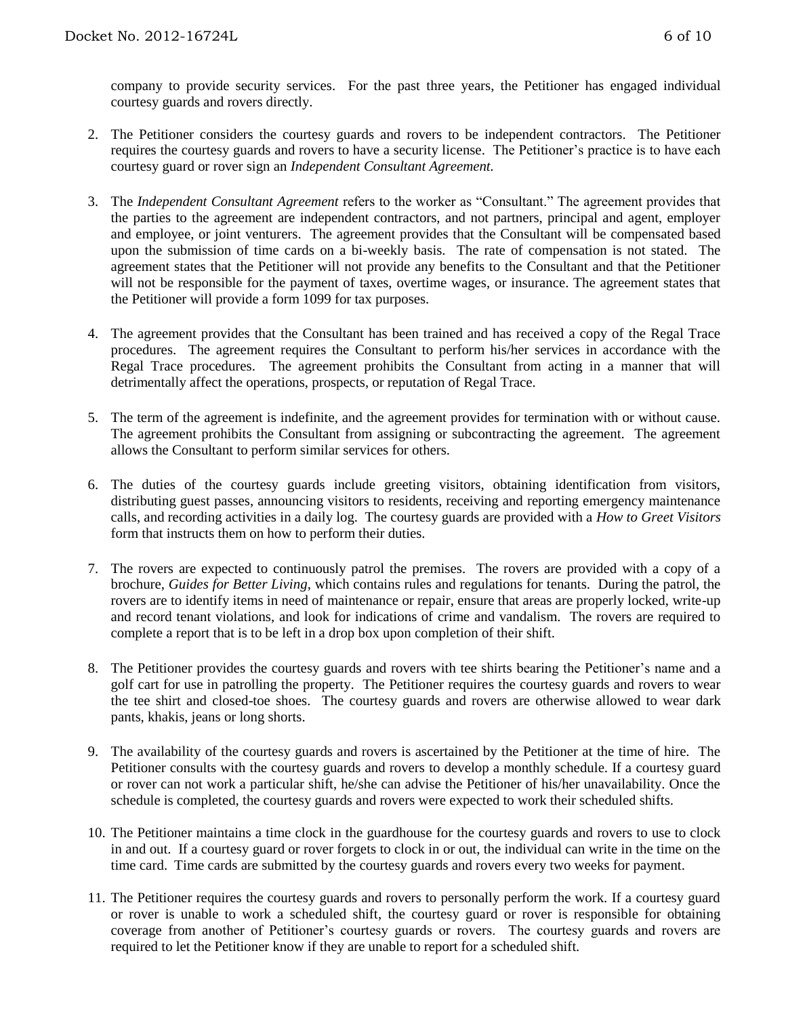company to provide security services. For the past three years, the Petitioner has engaged individual courtesy guards and rovers directly.

- 2. The Petitioner considers the courtesy guards and rovers to be independent contractors. The Petitioner requires the courtesy guards and rovers to have a security license. The Petitioner's practice is to have each courtesy guard or rover sign an *Independent Consultant Agreement.*
- 3. The *Independent Consultant Agreement* refers to the worker as "Consultant." The agreement provides that the parties to the agreement are independent contractors, and not partners, principal and agent, employer and employee, or joint venturers. The agreement provides that the Consultant will be compensated based upon the submission of time cards on a bi-weekly basis. The rate of compensation is not stated. The agreement states that the Petitioner will not provide any benefits to the Consultant and that the Petitioner will not be responsible for the payment of taxes, overtime wages, or insurance. The agreement states that the Petitioner will provide a form 1099 for tax purposes.
- 4. The agreement provides that the Consultant has been trained and has received a copy of the Regal Trace procedures. The agreement requires the Consultant to perform his/her services in accordance with the Regal Trace procedures. The agreement prohibits the Consultant from acting in a manner that will detrimentally affect the operations, prospects, or reputation of Regal Trace.
- 5. The term of the agreement is indefinite, and the agreement provides for termination with or without cause. The agreement prohibits the Consultant from assigning or subcontracting the agreement. The agreement allows the Consultant to perform similar services for others.
- 6. The duties of the courtesy guards include greeting visitors, obtaining identification from visitors, distributing guest passes, announcing visitors to residents, receiving and reporting emergency maintenance calls, and recording activities in a daily log. The courtesy guards are provided with a *How to Greet Visitors* form that instructs them on how to perform their duties.
- 7. The rovers are expected to continuously patrol the premises. The rovers are provided with a copy of a brochure, *Guides for Better Living*, which contains rules and regulations for tenants. During the patrol, the rovers are to identify items in need of maintenance or repair, ensure that areas are properly locked, write-up and record tenant violations, and look for indications of crime and vandalism. The rovers are required to complete a report that is to be left in a drop box upon completion of their shift.
- 8. The Petitioner provides the courtesy guards and rovers with tee shirts bearing the Petitioner's name and a golf cart for use in patrolling the property. The Petitioner requires the courtesy guards and rovers to wear the tee shirt and closed-toe shoes. The courtesy guards and rovers are otherwise allowed to wear dark pants, khakis, jeans or long shorts.
- 9. The availability of the courtesy guards and rovers is ascertained by the Petitioner at the time of hire. The Petitioner consults with the courtesy guards and rovers to develop a monthly schedule. If a courtesy guard or rover can not work a particular shift, he/she can advise the Petitioner of his/her unavailability. Once the schedule is completed, the courtesy guards and rovers were expected to work their scheduled shifts.
- 10. The Petitioner maintains a time clock in the guardhouse for the courtesy guards and rovers to use to clock in and out. If a courtesy guard or rover forgets to clock in or out, the individual can write in the time on the time card. Time cards are submitted by the courtesy guards and rovers every two weeks for payment.
- 11. The Petitioner requires the courtesy guards and rovers to personally perform the work. If a courtesy guard or rover is unable to work a scheduled shift, the courtesy guard or rover is responsible for obtaining coverage from another of Petitioner's courtesy guards or rovers. The courtesy guards and rovers are required to let the Petitioner know if they are unable to report for a scheduled shift.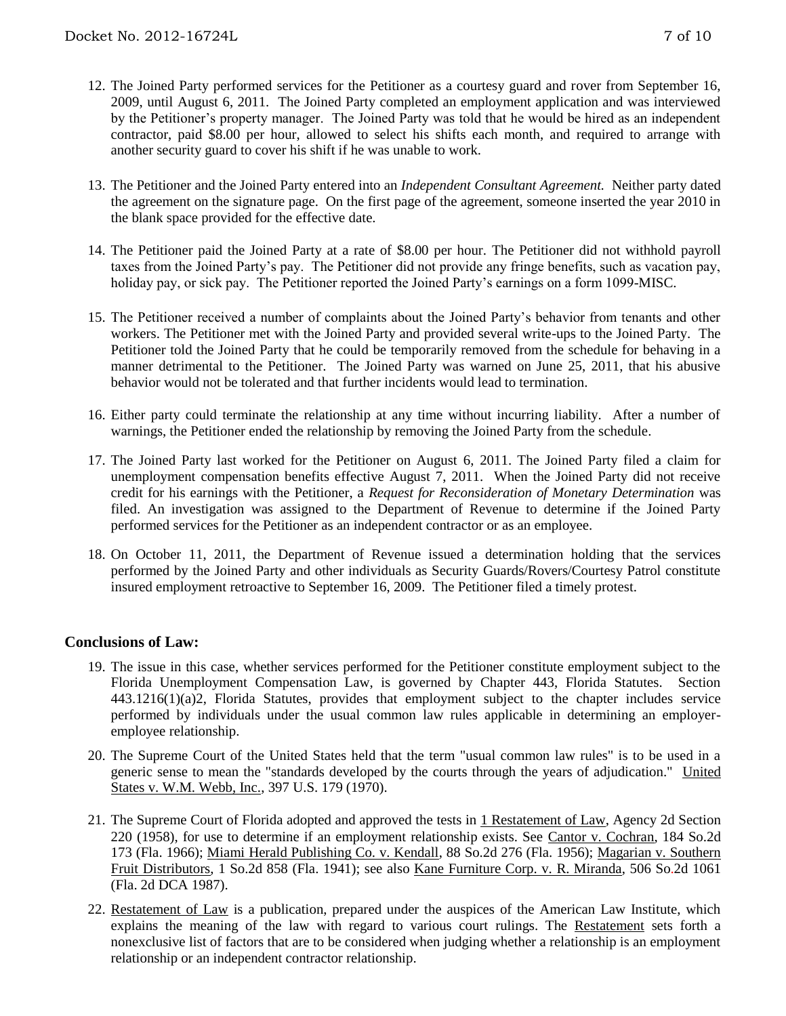- 12. The Joined Party performed services for the Petitioner as a courtesy guard and rover from September 16, 2009, until August 6, 2011. The Joined Party completed an employment application and was interviewed by the Petitioner's property manager. The Joined Party was told that he would be hired as an independent contractor, paid \$8.00 per hour, allowed to select his shifts each month, and required to arrange with another security guard to cover his shift if he was unable to work.
- 13. The Petitioner and the Joined Party entered into an *Independent Consultant Agreement.* Neither party dated the agreement on the signature page. On the first page of the agreement, someone inserted the year 2010 in the blank space provided for the effective date.
- 14. The Petitioner paid the Joined Party at a rate of \$8.00 per hour. The Petitioner did not withhold payroll taxes from the Joined Party's pay. The Petitioner did not provide any fringe benefits, such as vacation pay, holiday pay, or sick pay. The Petitioner reported the Joined Party's earnings on a form 1099-MISC.
- 15. The Petitioner received a number of complaints about the Joined Party's behavior from tenants and other workers. The Petitioner met with the Joined Party and provided several write-ups to the Joined Party. The Petitioner told the Joined Party that he could be temporarily removed from the schedule for behaving in a manner detrimental to the Petitioner. The Joined Party was warned on June 25, 2011, that his abusive behavior would not be tolerated and that further incidents would lead to termination.
- 16. Either party could terminate the relationship at any time without incurring liability. After a number of warnings, the Petitioner ended the relationship by removing the Joined Party from the schedule.
- 17. The Joined Party last worked for the Petitioner on August 6, 2011. The Joined Party filed a claim for unemployment compensation benefits effective August 7, 2011. When the Joined Party did not receive credit for his earnings with the Petitioner, a *Request for Reconsideration of Monetary Determination* was filed. An investigation was assigned to the Department of Revenue to determine if the Joined Party performed services for the Petitioner as an independent contractor or as an employee.
- 18. On October 11, 2011, the Department of Revenue issued a determination holding that the services performed by the Joined Party and other individuals as Security Guards/Rovers/Courtesy Patrol constitute insured employment retroactive to September 16, 2009. The Petitioner filed a timely protest.

## **Conclusions of Law:**

- 19. The issue in this case, whether services performed for the Petitioner constitute employment subject to the Florida Unemployment Compensation Law, is governed by Chapter 443, Florida Statutes. Section 443.1216(1)(a)2, Florida Statutes, provides that employment subject to the chapter includes service performed by individuals under the usual common law rules applicable in determining an employeremployee relationship.
- 20. The Supreme Court of the United States held that the term "usual common law rules" is to be used in a generic sense to mean the "standards developed by the courts through the years of adjudication." United States v. W.M. Webb, Inc., 397 U.S. 179 (1970).
- 21. The Supreme Court of Florida adopted and approved the tests in 1 Restatement of Law, Agency 2d Section 220 (1958), for use to determine if an employment relationship exists. See Cantor v. Cochran, 184 So.2d 173 (Fla. 1966); Miami Herald Publishing Co. v. Kendall, 88 So.2d 276 (Fla. 1956); Magarian v. Southern Fruit Distributors, 1 So.2d 858 (Fla. 1941); see also Kane Furniture Corp. v. R. Miranda, 506 So.2d 1061 (Fla. 2d DCA 1987).
- 22. Restatement of Law is a publication, prepared under the auspices of the American Law Institute, which explains the meaning of the law with regard to various court rulings. The Restatement sets forth a nonexclusive list of factors that are to be considered when judging whether a relationship is an employment relationship or an independent contractor relationship.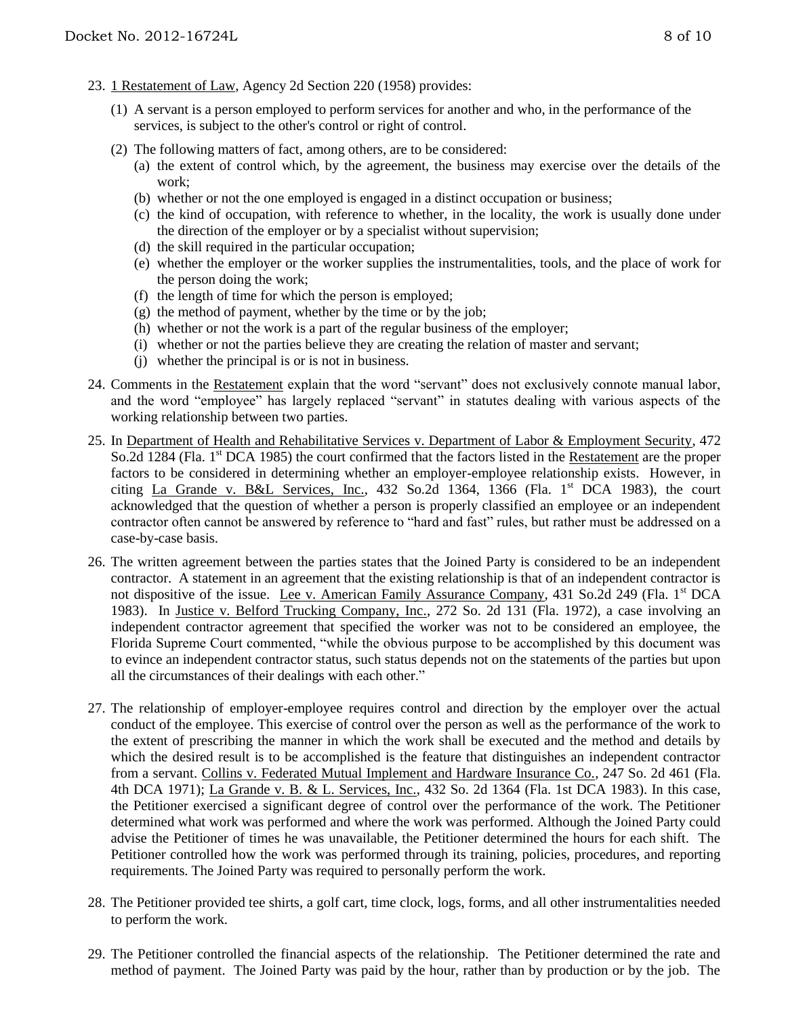- 23. 1 Restatement of Law, Agency 2d Section 220 (1958) provides:
	- (1) A servant is a person employed to perform services for another and who, in the performance of the services, is subject to the other's control or right of control.
	- (2) The following matters of fact, among others, are to be considered:
		- (a) the extent of control which, by the agreement, the business may exercise over the details of the work;
		- (b) whether or not the one employed is engaged in a distinct occupation or business;
		- (c) the kind of occupation, with reference to whether, in the locality, the work is usually done under the direction of the employer or by a specialist without supervision;
		- (d) the skill required in the particular occupation;
		- (e) whether the employer or the worker supplies the instrumentalities, tools, and the place of work for the person doing the work;
		- (f) the length of time for which the person is employed;
		- $(g)$  the method of payment, whether by the time or by the job;
		- (h) whether or not the work is a part of the regular business of the employer;
		- (i) whether or not the parties believe they are creating the relation of master and servant;
		- (j) whether the principal is or is not in business.
- 24. Comments in the Restatement explain that the word "servant" does not exclusively connote manual labor, and the word "employee" has largely replaced "servant" in statutes dealing with various aspects of the working relationship between two parties.
- 25. In Department of Health and Rehabilitative Services v. Department of Labor & Employment Security, 472 So.2d 1284 (Fla. 1<sup>st</sup> DCA 1985) the court confirmed that the factors listed in the Restatement are the proper factors to be considered in determining whether an employer-employee relationship exists. However, in citing La Grande v. B&L Services, Inc.,  $432$  So.2d  $1364$ ,  $1366$  (Fla. 1st DCA 1983), the court acknowledged that the question of whether a person is properly classified an employee or an independent contractor often cannot be answered by reference to "hard and fast" rules, but rather must be addressed on a case-by-case basis.
- 26. The written agreement between the parties states that the Joined Party is considered to be an independent contractor. A statement in an agreement that the existing relationship is that of an independent contractor is not dispositive of the issue. Lee v. American Family Assurance Company, 431 So.2d 249 (Fla. 1<sup>st</sup> DCA 1983). In Justice v. Belford Trucking Company, Inc., 272 So. 2d 131 (Fla. 1972), a case involving an independent contractor agreement that specified the worker was not to be considered an employee, the Florida Supreme Court commented, "while the obvious purpose to be accomplished by this document was to evince an independent contractor status, such status depends not on the statements of the parties but upon all the circumstances of their dealings with each other."
- 27. The relationship of employer-employee requires control and direction by the employer over the actual conduct of the employee. This exercise of control over the person as well as the performance of the work to the extent of prescribing the manner in which the work shall be executed and the method and details by which the desired result is to be accomplished is the feature that distinguishes an independent contractor from a servant. Collins v. Federated Mutual Implement and Hardware Insurance Co., 247 So. 2d 461 (Fla. 4th DCA 1971); La Grande v. B. & L. Services, Inc., 432 So. 2d 1364 (Fla. 1st DCA 1983). In this case, the Petitioner exercised a significant degree of control over the performance of the work. The Petitioner determined what work was performed and where the work was performed. Although the Joined Party could advise the Petitioner of times he was unavailable, the Petitioner determined the hours for each shift. The Petitioner controlled how the work was performed through its training, policies, procedures, and reporting requirements. The Joined Party was required to personally perform the work.
- 28. The Petitioner provided tee shirts, a golf cart, time clock, logs, forms, and all other instrumentalities needed to perform the work.
- 29. The Petitioner controlled the financial aspects of the relationship. The Petitioner determined the rate and method of payment. The Joined Party was paid by the hour, rather than by production or by the job. The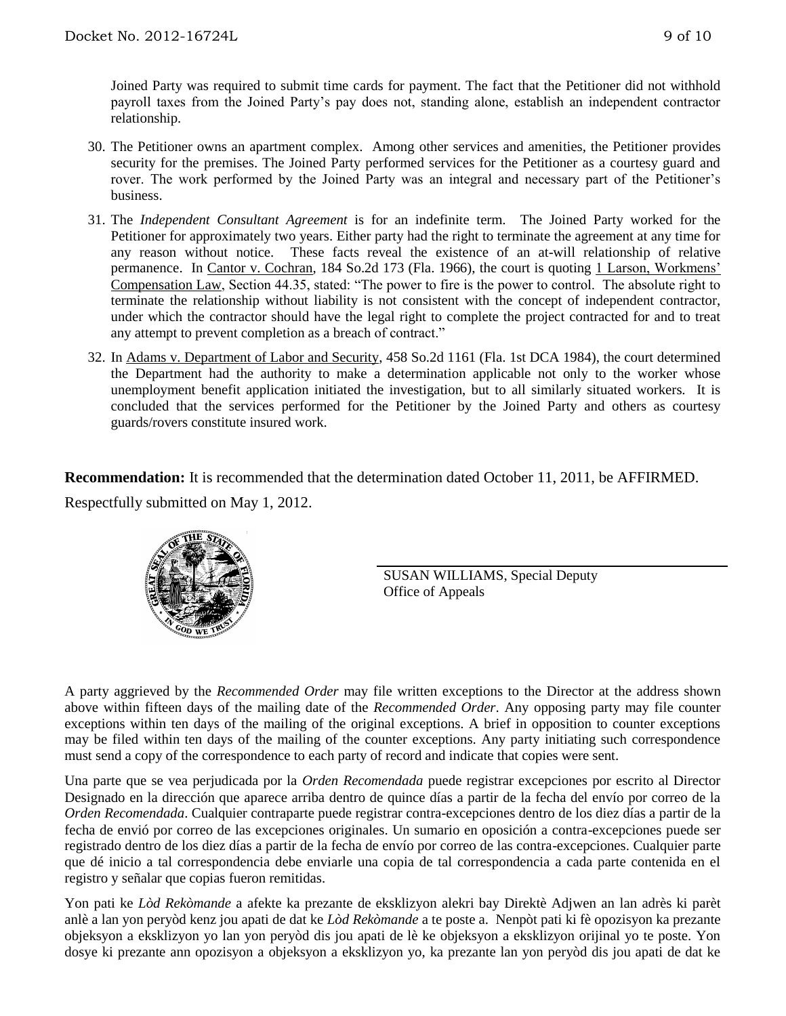Joined Party was required to submit time cards for payment. The fact that the Petitioner did not withhold payroll taxes from the Joined Party's pay does not, standing alone, establish an independent contractor relationship.

- 30. The Petitioner owns an apartment complex. Among other services and amenities, the Petitioner provides security for the premises. The Joined Party performed services for the Petitioner as a courtesy guard and rover. The work performed by the Joined Party was an integral and necessary part of the Petitioner's business.
- 31. The *Independent Consultant Agreement* is for an indefinite term. The Joined Party worked for the Petitioner for approximately two years. Either party had the right to terminate the agreement at any time for any reason without notice. These facts reveal the existence of an at-will relationship of relative permanence. In Cantor v. Cochran, 184 So.2d 173 (Fla. 1966), the court is quoting 1 Larson, Workmens' Compensation Law, Section 44.35, stated: "The power to fire is the power to control. The absolute right to terminate the relationship without liability is not consistent with the concept of independent contractor, under which the contractor should have the legal right to complete the project contracted for and to treat any attempt to prevent completion as a breach of contract."
- 32. In Adams v. Department of Labor and Security, 458 So.2d 1161 (Fla. 1st DCA 1984), the court determined the Department had the authority to make a determination applicable not only to the worker whose unemployment benefit application initiated the investigation, but to all similarly situated workers. It is concluded that the services performed for the Petitioner by the Joined Party and others as courtesy guards/rovers constitute insured work.

**Recommendation:** It is recommended that the determination dated October 11, 2011, be AFFIRMED.

Respectfully submitted on May 1, 2012.



SUSAN WILLIAMS, Special Deputy Office of Appeals

A party aggrieved by the *Recommended Order* may file written exceptions to the Director at the address shown above within fifteen days of the mailing date of the *Recommended Order*. Any opposing party may file counter exceptions within ten days of the mailing of the original exceptions. A brief in opposition to counter exceptions may be filed within ten days of the mailing of the counter exceptions. Any party initiating such correspondence must send a copy of the correspondence to each party of record and indicate that copies were sent.

Una parte que se vea perjudicada por la *Orden Recomendada* puede registrar excepciones por escrito al Director Designado en la dirección que aparece arriba dentro de quince días a partir de la fecha del envío por correo de la *Orden Recomendada*. Cualquier contraparte puede registrar contra-excepciones dentro de los diez días a partir de la fecha de envió por correo de las excepciones originales. Un sumario en oposición a contra-excepciones puede ser registrado dentro de los diez días a partir de la fecha de envío por correo de las contra-excepciones. Cualquier parte que dé inicio a tal correspondencia debe enviarle una copia de tal correspondencia a cada parte contenida en el registro y señalar que copias fueron remitidas.

Yon pati ke *Lòd Rekòmande* a afekte ka prezante de eksklizyon alekri bay Direktè Adjwen an lan adrès ki parèt anlè a lan yon peryòd kenz jou apati de dat ke *Lòd Rekòmande* a te poste a. Nenpòt pati ki fè opozisyon ka prezante objeksyon a eksklizyon yo lan yon peryòd dis jou apati de lè ke objeksyon a eksklizyon orijinal yo te poste. Yon dosye ki prezante ann opozisyon a objeksyon a eksklizyon yo, ka prezante lan yon peryòd dis jou apati de dat ke